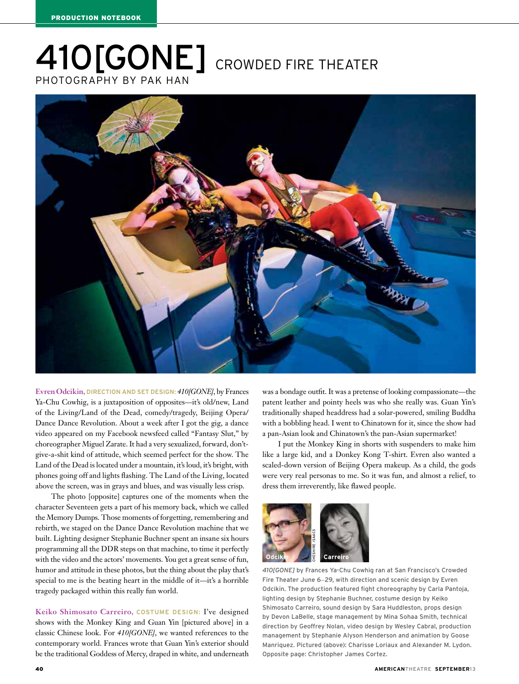## photographY by Pak Han 410[GONE] CROWDED FIRE THEATER



Evren Odcikin, **DIRECTION AND SET DESIGN:** *410[GONE]*, by Frances Ya-Chu Cowhig, is a juxtaposition of opposites—it's old/new, Land of the Living/Land of the Dead, comedy/tragedy, Beijing Opera/ Dance Dance Revolution. About a week after I got the gig, a dance video appeared on my Facebook newsfeed called "Fantasy Slut," by choreographer Miguel Zarate. It had a very sexualized, forward, don'tgive-a-shit kind of attitude, which seemed perfect for the show. The Land of the Dead is located under a mountain, it's loud, it's bright, with phones going off and lights flashing. The Land of the Living, located above the screen, was in grays and blues, and was visually less crisp.

The photo [opposite] captures one of the moments when the character Seventeen gets a part of his memory back, which we called the Memory Dumps. Those moments of forgetting, remembering and rebirth, we staged on the Dance Dance Revolution machine that we built. Lighting designer Stephanie Buchner spent an insane six hours programming all the DDR steps on that machine, to time it perfectly with the video and the actors' movements. You get a great sense of fun, humor and attitude in these photos, but the thing about the play that's special to me is the beating heart in the middle of it—it's a horrible tragedy packaged within this really fun world.

Keiko Shimosato Carreiro, **COSTUME DESIGN:** I've designed shows with the Monkey King and Guan Yin [pictured above] in a classic Chinese look. For *410[GONE]*, we wanted references to the contemporary world. Frances wrote that Guan Yin's exterior should be the traditional Goddess of Mercy, draped in white, and underneath

was a bondage outfit. It was a pretense of looking compassionate—the patent leather and pointy heels was who she really was. Guan Yin's traditionally shaped headdress had a solar-powered, smiling Buddha with a bobbling head. I went to Chinatown for it, since the show had a pan-Asian look and Chinatown's the pan-Asian supermarket!

I put the Monkey King in shorts with suspenders to make him like a large kid, and a Donkey Kong T-shirt. Evren also wanted a scaled-down version of Beijing Opera makeup. As a child, the gods were very real personas to me. So it was fun, and almost a relief, to dress them irreverently, like flawed people.



*410[GONE]* by Frances Ya-Chu Cowhig ran at San Francisco's Crowded Fire Theater June 6–29, with direction and scenic design by Evren Odcikin. The production featured fight choreography by Carla Pantoja, lighting design by Stephanie Buchner, costume design by Keiko Shimosato Carreiro, sound design by Sara Huddleston, props design by Devon LaBelle, stage management by Mina Sohaa Smith, technical direction by Geoffrey Nolan, video design by Wesley Cabral, production management by Stephanie Alyson Henderson and animation by Goose Manriquez. Pictured (above): Charisse Loriaux and Alexander M. Lydon. Opposite page: Christopher James Cortez.